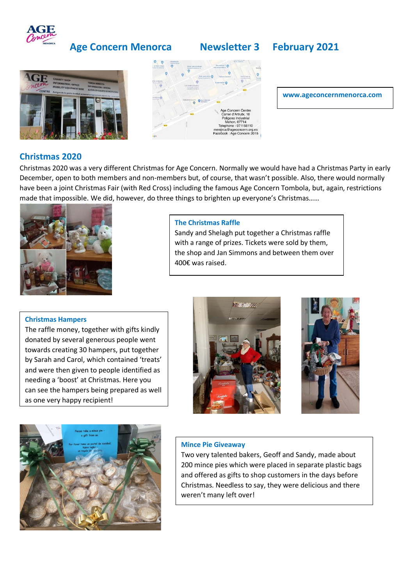

## **Age Concern Menorca Newsletter 3 February 2021**







#### **www.ageconcernmenorca.com**

## **Christmas 2020**

Christmas 2020 was a very different Christmas for Age Concern. Normally we would have had a Christmas Party in early December, open to both members and non-members but, of course, that wasn't possible. Also, there would normally have been a joint Christmas Fair (with Red Cross) including the famous Age Concern Tombola, but, again, restrictions made that impossible. We did, however, do three things to brighten up everyone's Christmas……



#### **The Christmas Raffle**

Sandy and Shelagh put together a Christmas raffle with a range of prizes. Tickets were sold by them, the shop and Jan Simmons and between them over 400€ was raised.

#### **Christmas Hampers**

The raffle money, together with gifts kindly donated by several generous people went towards creating 30 hampers, put together by Sarah and Carol, which contained 'treats' and were then given to people identified as needing a 'boost' at Christmas. Here you can see the hampers being prepared as well as one very happy recipient!







### **Mince Pie Giveaway**

Two very talented bakers, Geoff and Sandy, made about 200 mince pies which were placed in separate plastic bags and offered as gifts to shop customers in the days before Christmas. Needless to say, they were delicious and there weren't many left over!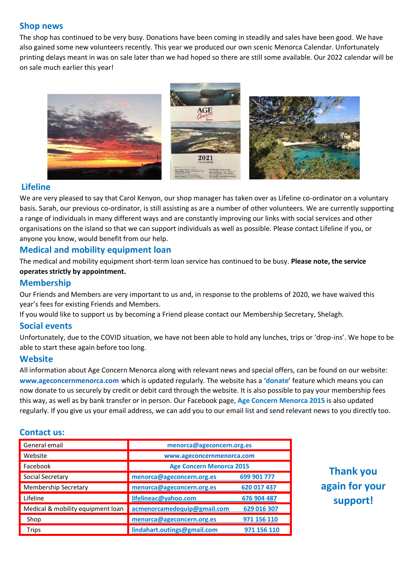## **Shop news**

The shop has continued to be very busy. Donations have been coming in steadily and sales have been good. We have also gained some new volunteers recently. This year we produced our own scenic Menorca Calendar. Unfortunately printing delays meant in was on sale later than we had hoped so there are still some available. Our 2022 calendar will be on sale much earlier this year!



## **Lifeline**

We are very pleased to say that Carol Kenyon, our shop manager has taken over as Lifeline co-ordinator on a voluntary basis. Sarah, our previous co-ordinator, is still assisting as are a number of other volunteers. We are currently supporting a range of individuals in many different ways and are constantly improving our links with social services and other organisations on the island so that we can support individuals as well as possible. Please contact Lifeline if you, or anyone you know, would benefit from our help.

## **Medical and mobility equipment loan**

The medical and mobility equipment short-term loan service has continued to be busy. **Please note, the service operates strictly by appointment.**

## **Membership**

Our Friends and Members are very important to us and, in response to the problems of 2020, we have waived this year's fees for existing Friends and Members.

If you would like to support us by becoming a Friend please contact our Membership Secretary, Shelagh.

## **Social events**

Unfortunately, due to the COVID situation, we have not been able to hold any lunches, trips or 'drop-ins'. We hope to be able to start these again before too long.

## **Website**

All information about Age Concern Menorca along with relevant news and special offers, can be found on our website: **[www.ageconcernmenorca.com](http://www.ageconcernmenorca.com/)** which is updated regularly. The website has a **'donate'** feature which means you can now donate to us securely by credit or debit card through the website. It is also possible to pay your membership fees this way, as well as by bank transfer or in person. Our Facebook page, **Age Concern Menorca 2015** is also updated regularly. If you give us your email address, we can add you to our email list and send relevant news to you directly too.

## **Contact us:**

| General email                     | menorca@ageconcern.org.es       |             |
|-----------------------------------|---------------------------------|-------------|
| Website                           | www.ageconcernmenorca.com       |             |
| Facebook                          | <b>Age Concern Menorca 2015</b> |             |
| Social Secretary                  | menorca@ageconcern.org.es       | 699 901 777 |
| Membership Secretary              | menorca@ageconcern.org.es       | 620 017 437 |
| Lifeline                          | lifelineac@yahoo.com            | 676 904 487 |
| Medical & mobility equipment loan | acmenorcamedequip@gmail.com     | 629 016 307 |
| Shop                              | menorca@ageconcern.org.es       | 971 156 110 |
| <b>Trips</b>                      | lindahart.outings@gmail.com     | 971 156 110 |

# **Thank you again for your support!**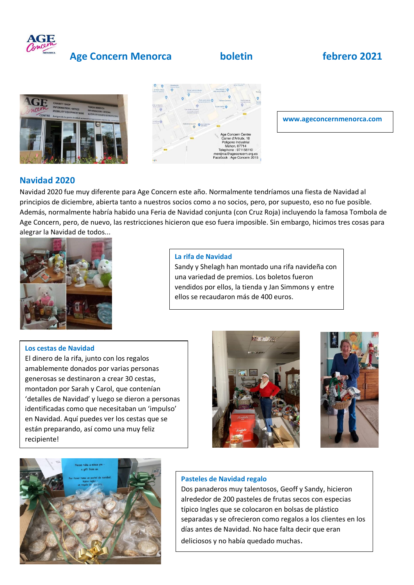

## **Age Concern Menorca boletin febrero 2021**





**www.ageconcernmenorca.com**

## **Navidad 2020**

Navidad 2020 fue muy diferente para Age Concern este año. Normalmente tendríamos una fiesta de Navidad al principios de diciembre, abierta tanto a nuestros socios como a no socios, pero, por supuesto, eso no fue posible. Además, normalmente habría habido una Feria de Navidad conjunta (con Cruz Roja) incluyendo la famosa Tombola de Age Concern, pero, de nuevo, las restricciones hicieron que eso fuera imposible. Sin embargo, hicimos tres cosas para alegrar la Navidad de todos...



#### **La rifa de Navidad**

Sandy y Shelagh han montado una rifa navideña con una variedad de premios. Los boletos fueron vendidos por ellos, la tienda y Jan Simmons y entre ellos se recaudaron más de 400 euros.

#### **Los cestas de Navidad**

El dinero de la rifa, junto con los regalos amablemente donados por varias personas generosas se destinaron a crear 30 cestas, montadon por Sarah y Carol, que contenían 'detalles de Navidad' y luego se dieron a personas identificadas como que necesitaban un 'impulso' en Navidad. Aquí puedes ver los cestas que se están preparando, así como una muy feliz recipiente!







#### **Pasteles de Navidad regalo**

Dos panaderos muy talentosos, Geoff y Sandy, hicieron alrededor de 200 pasteles de frutas secos con especias típico Ingles que se colocaron en bolsas de plástico separadas y se ofrecieron como regalos a los clientes en los días antes de Navidad. No hace falta decir que eran deliciosos y no había quedado muchas.